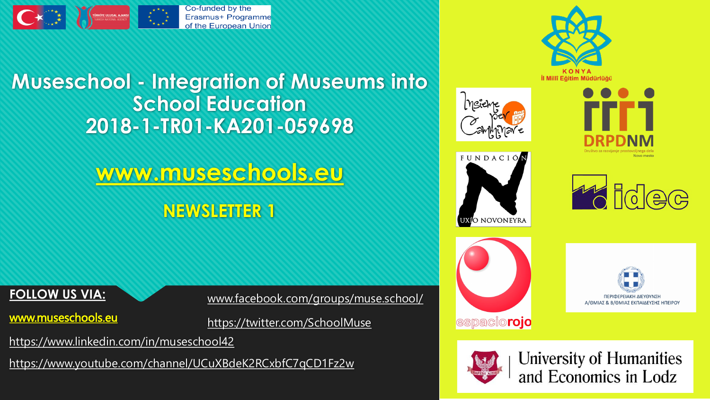

# **Museschool - Integration of Museums into School Education 2018-1-TR01-KA201-059698**

**[www.museschools.eu](http://www.museschools.eu/) NEWSLETTER 1**

### **FOLLOW US VIA:**

[www.museschools.eu](http://www.museschools.eu/)

[www.facebook.com/groups/muse.school/](http://www.facebook.com/groups/muse.school/)

<https://twitter.com/SchoolMuse>

<https://www.linkedin.com/in/museschool42>

<https://www.youtube.com/channel/UCuXBdeK2RCxbfC7qCD1Fz2w>

















**University of Humanities** and Economics in Lodz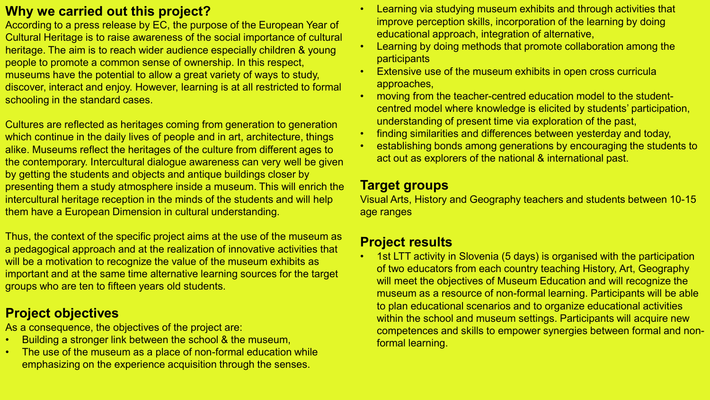## **Why we carried out this project?**

According to a press release by EC, the purpose of the European Year of Cultural Heritage is to raise awareness of the social importance of cultural heritage. The aim is to reach wider audience especially children & young people to promote a common sense of ownership. In this respect, museums have the potential to allow a great variety of ways to study, discover, interact and enjoy. However, learning is at all restricted to formal schooling in the standard cases.

Cultures are reflected as heritages coming from generation to generation which continue in the daily lives of people and in art, architecture, things alike. Museums reflect the heritages of the culture from different ages to the contemporary. Intercultural dialogue awareness can very well be given by getting the students and objects and antique buildings closer by presenting them a study atmosphere inside a museum. This will enrich the intercultural heritage reception in the minds of the students and will help them have a European Dimension in cultural understanding.

Thus, the context of the specific project aims at the use of the museum as a pedagogical approach and at the realization of innovative activities that will be a motivation to recognize the value of the museum exhibits as important and at the same time alternative learning sources for the target groups who are ten to fifteen years old students.

## **Project objectives**

As a consequence, the objectives of the project are:

- Building a stronger link between the school & the museum,
- The use of the museum as a place of non-formal education while emphasizing on the experience acquisition through the senses.
- Learning via studying museum exhibits and through activities that improve perception skills, incorporation of the learning by doing educational approach, integration of alternative,
- Learning by doing methods that promote collaboration among the **participants**
- Extensive use of the museum exhibits in open cross curricula approaches,
- moving from the teacher-centred education model to the studentcentred model where knowledge is elicited by students' participation, understanding of present time via exploration of the past,
- finding similarities and differences between yesterday and today,
- establishing bonds among generations by encouraging the students to act out as explorers of the national & international past.

# **Target groups**

Visual Arts, History and Geography teachers and students between 10-15 age ranges

# **Project results**

• 1st LTT activity in Slovenia (5 days) is organised with the participation of two educators from each country teaching History, Art, Geography will meet the objectives of Museum Education and will recognize the museum as a resource of non-formal learning. Participants will be able to plan educational scenarios and to organize educational activities within the school and museum settings. Participants will acquire new competences and skills to empower synergies between formal and nonformal learning.